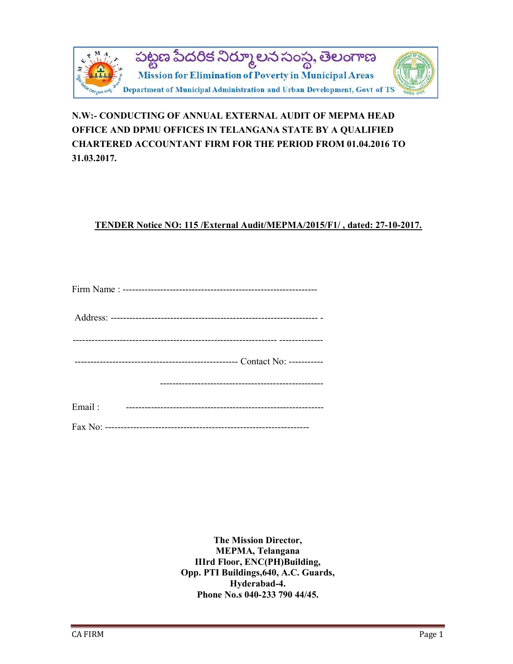

# N.W:- CONDUCTING OF ANNUAL EXTERNAL AUDIT OF MEPMA HEAD OFFICE AND DPMU OFFICES IN TELANGANA STATE BY A QUALIFIED CHARTERED ACCOUNTANT FIRM FOR THE PERIOD FROM 01.04.2016 TO 31.03.2017.

## TENDER Notice NO: 115 /External Audit/MEPMA/2015/F1/ , dated: 27-10-2017.

| Email: |  |
|--------|--|
|        |  |

The Mission Director, MEPMA, Telangana IIIrd Floor, ENC(PH)Building, Opp. PTI Buildings,640, A.C. Guards, Hyderabad-4. Phone No.s 040-233 790 44/45.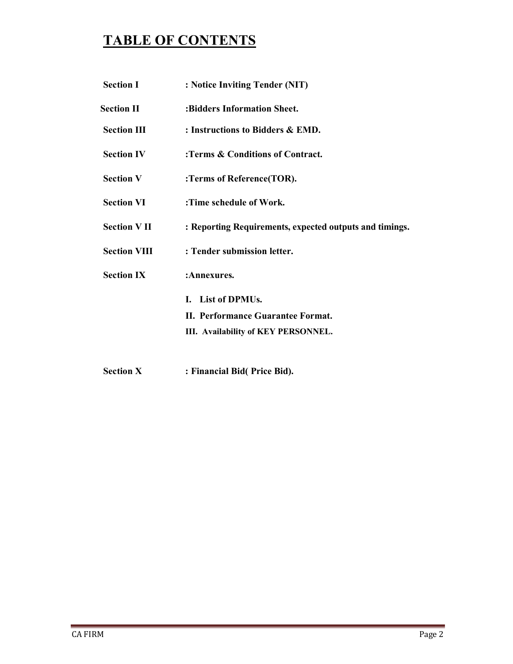# TABLE OF CONTENTS

| <b>Section I</b>    | : Notice Inviting Tender (NIT)                          |
|---------------------|---------------------------------------------------------|
| <b>Section II</b>   | :Bidders Information Sheet.                             |
| <b>Section III</b>  | : Instructions to Bidders & EMD.                        |
| <b>Section IV</b>   | :Terms & Conditions of Contract.                        |
| <b>Section V</b>    | :Terms of Reference(TOR).                               |
| <b>Section VI</b>   | :Time schedule of Work.                                 |
| <b>Section VII</b>  | : Reporting Requirements, expected outputs and timings. |
| <b>Section VIII</b> | : Tender submission letter.                             |
| <b>Section IX</b>   | :Annexures.                                             |
|                     | I. List of DPMUs.                                       |
|                     | II. Performance Guarantee Format.                       |
|                     | III. Availability of KEY PERSONNEL.                     |
|                     |                                                         |
|                     |                                                         |

Section X : Financial Bid( Price Bid).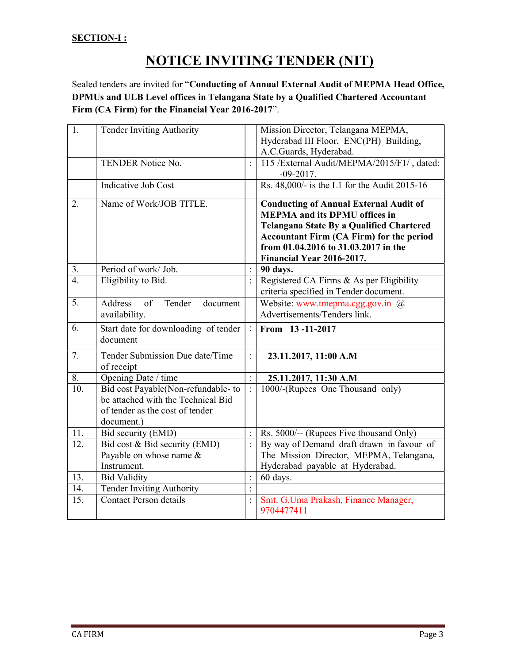# NOTICE INVITING TENDER (NIT)

Sealed tenders are invited for "Conducting of Annual External Audit of MEPMA Head Office, DPMUs and ULB Level offices in Telangana State by a Qualified Chartered Accountant Firm (CA Firm) for the Financial Year 2016-2017".

| 1.                | Tender Inviting Authority            |                | Mission Director, Telangana MEPMA,                            |
|-------------------|--------------------------------------|----------------|---------------------------------------------------------------|
|                   |                                      |                | Hyderabad III Floor, ENC(PH) Building,                        |
|                   |                                      |                | A.C.Guards, Hyderabad.                                        |
|                   | TENDER Notice No.                    | $\ddot{\cdot}$ | 115 / External Audit/MEPMA/2015/F1/, dated:<br>$-09 - 2017$ . |
|                   | Indicative Job Cost                  |                | Rs. 48,000/- is the L1 for the Audit 2015-16                  |
|                   |                                      |                |                                                               |
| 2.                | Name of Work/JOB TITLE.              |                | <b>Conducting of Annual External Audit of</b>                 |
|                   |                                      |                | <b>MEPMA</b> and its DPMU offices in                          |
|                   |                                      |                | <b>Telangana State By a Qualified Chartered</b>               |
|                   |                                      |                | <b>Accountant Firm (CA Firm) for the period</b>               |
|                   |                                      |                | from 01.04.2016 to 31.03.2017 in the                          |
|                   |                                      |                | Financial Year 2016-2017.                                     |
| 3.                | Period of work/ Job.                 |                | 90 days.                                                      |
| $\overline{4}$ .  | Eligibility to Bid.                  | $\ddot{\cdot}$ | Registered CA Firms & As per Eligibility                      |
|                   |                                      |                | criteria specified in Tender document.                        |
| 5.                | of<br>Tender<br>Address<br>document  |                | Website: www.tmepma.cgg.gov.in @                              |
|                   | availability.                        |                | Advertisements/Tenders link.                                  |
|                   |                                      |                |                                                               |
| 6.                | Start date for downloading of tender | $\therefore$   | From 13-11-2017                                               |
|                   | document                             |                |                                                               |
| 7.                | Tender Submission Due date/Time      | $\vdots$       |                                                               |
|                   | of receipt                           |                | 23.11.2017, 11:00 A.M                                         |
| 8.                | Opening Date / time                  | $\ddot{\cdot}$ | 25.11.2017, 11:30 A.M                                         |
| $\overline{10}$ . | Bid cost Payable(Non-refundable- to  | $\ddot{\cdot}$ | 1000/-(Rupees One Thousand only)                              |
|                   | be attached with the Technical Bid   |                |                                                               |
|                   | of tender as the cost of tender      |                |                                                               |
|                   | document.)                           |                |                                                               |
| 11.               | Bid security (EMD)                   | $\ddot{\cdot}$ | Rs. 5000/-- (Rupees Five thousand Only)                       |
| 12.               | Bid cost & Bid security (EMD)        | $\ddot{\cdot}$ | By way of Demand draft drawn in favour of                     |
|                   | Payable on whose name &              |                | The Mission Director, MEPMA, Telangana,                       |
|                   | Instrument.                          |                | Hyderabad payable at Hyderabad.                               |
| 13.               | <b>Bid Validity</b>                  | $\vdots$       | 60 days.                                                      |
| 14.               | <b>Tender Inviting Authority</b>     | $\ddot{\cdot}$ |                                                               |
| 15.               | <b>Contact Person details</b>        | $\ddot{\cdot}$ | Smt. G.Uma Prakash, Finance Manager,<br>9704477411            |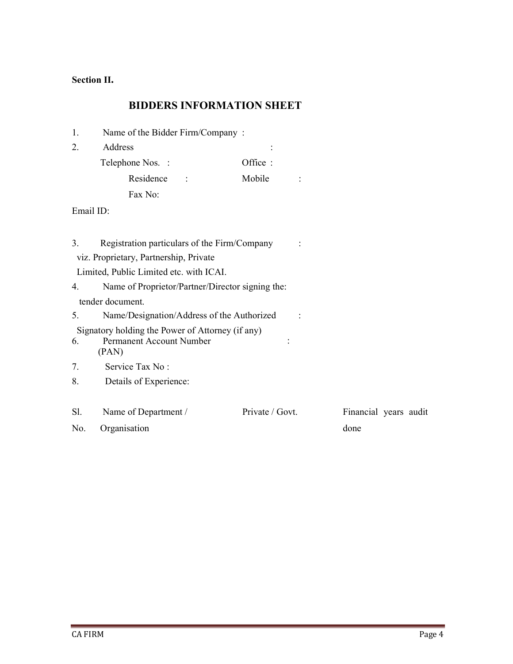## Section II.

 $1.$ 

## BIDDERS INFORMATION SHEET

Name of the Bidder Firm/Company :

| 2.        | Address                                                                               |                          |                       |
|-----------|---------------------------------------------------------------------------------------|--------------------------|-----------------------|
|           | Telephone Nos. :                                                                      | Office:                  |                       |
|           | Residence                                                                             | Mobile<br>$\ddot{\cdot}$ |                       |
|           | Fax No:                                                                               |                          |                       |
| Email ID: |                                                                                       |                          |                       |
|           |                                                                                       |                          |                       |
| 3.        | Registration particulars of the Firm/Company                                          |                          |                       |
|           | viz. Proprietary, Partnership, Private                                                |                          |                       |
|           | Limited, Public Limited etc. with ICAI.                                               |                          |                       |
| 4.        | Name of Proprietor/Partner/Director signing the:                                      |                          |                       |
|           | tender document.                                                                      |                          |                       |
| 5.        | Name/Designation/Address of the Authorized                                            |                          |                       |
| 6.        | Signatory holding the Power of Attorney (if any)<br>Permanent Account Number<br>(PAN) |                          |                       |
| 7.        | Service Tax No:                                                                       |                          |                       |
| 8.        | Details of Experience:                                                                |                          |                       |
| Sl.       | Name of Department /                                                                  | Private / Govt.          | Financial years audit |
| No.       | Organisation                                                                          |                          | done                  |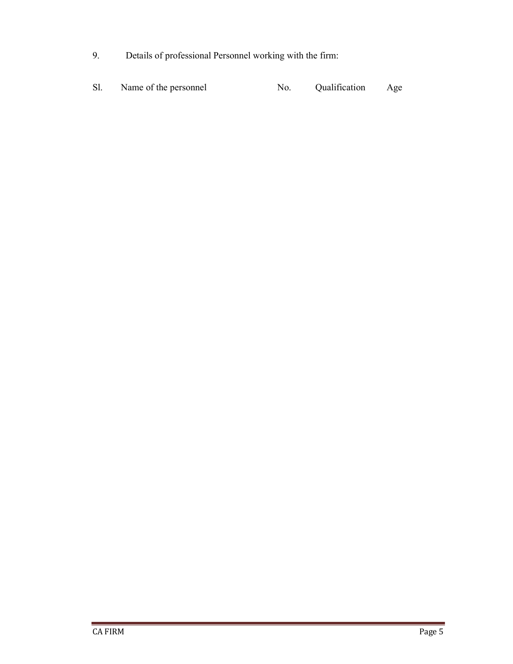- 9. Details of professional Personnel working with the firm:
- Sl. Name of the personnel No. Qualification Age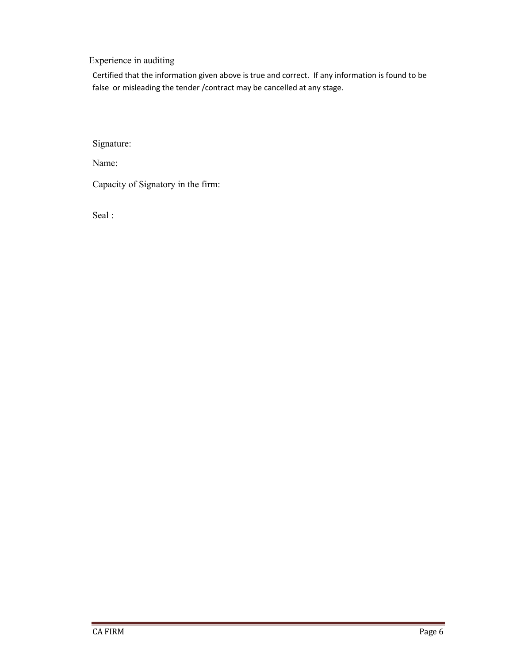Experience in auditing

Certified that the information given above is true and correct. If any information is found to be false or misleading the tender /contract may be cancelled at any stage.

Signature:

Name:

Capacity of Signatory in the firm:

Seal :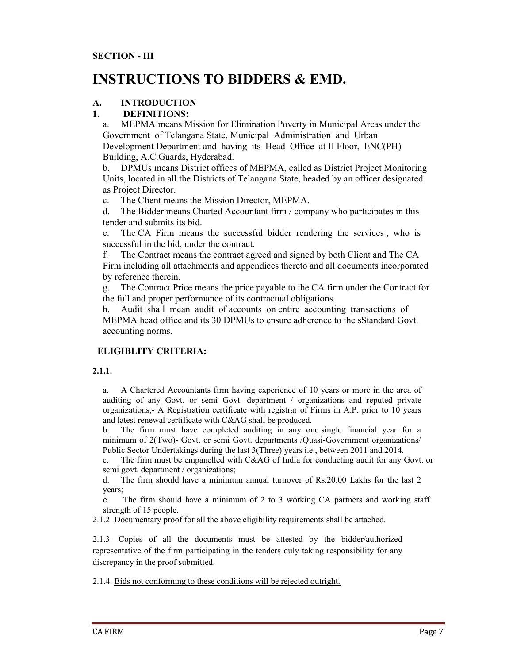# INSTRUCTIONS TO BIDDERS & EMD.

## A. INTRODUCTION

## 1. DEFINITIONS:

a. MEPMA means Mission for Elimination Poverty in Municipal Areas under the Government of Telangana State, Municipal Administration and Urban Development Department and having its Head Office at II Floor, ENC(PH) Building, A.C.Guards, Hyderabad.

b. DPMUs means District offices of MEPMA, called as District Project Monitoring Units, located in all the Districts of Telangana State, headed by an officer designated as Project Director.

c. The Client means the Mission Director, MEPMA.

d. The Bidder means Charted Accountant firm / company who participates in this tender and submits its bid.

e. The CA Firm means the successful bidder rendering the services , who is successful in the bid, under the contract.

f. The Contract means the contract agreed and signed by both Client and The CA Firm including all attachments and appendices thereto and all documents incorporated by reference therein.

g. The Contract Price means the price payable to the CA firm under the Contract for the full and proper performance of its contractual obligations.

h. Audit shall mean audit of accounts on entire accounting transactions of MEPMA head office and its 30 DPMUs to ensure adherence to the sStandard Govt. accounting norms.

## ELIGIBLITY CRITERIA:

#### 2.1.1.

a. A Chartered Accountants firm having experience of 10 years or more in the area of auditing of any Govt. or semi Govt. department / organizations and reputed private organizations;- A Registration certificate with registrar of Firms in A.P. prior to 10 years and latest renewal certificate with C&AG shall be produced.

b. The firm must have completed auditing in any one single financial year for a minimum of 2(Two)- Govt. or semi Govt. departments /Quasi-Government organizations/ Public Sector Undertakings during the last 3(Three) years i.e., between 2011 and 2014.

c. The firm must be empanelled with C&AG of India for conducting audit for any Govt. or semi govt. department / organizations;

d. The firm should have a minimum annual turnover of Rs.20.00 Lakhs for the last 2 years;

e. The firm should have a minimum of 2 to 3 working CA partners and working staff strength of 15 people.

2.1.2. Documentary proof for all the above eligibility requirements shall be attached.

2.1.3. Copies of all the documents must be attested by the bidder/authorized representative of the firm participating in the tenders duly taking responsibility for any discrepancy in the proof submitted.

2.1.4. Bids not conforming to these conditions will be rejected outright.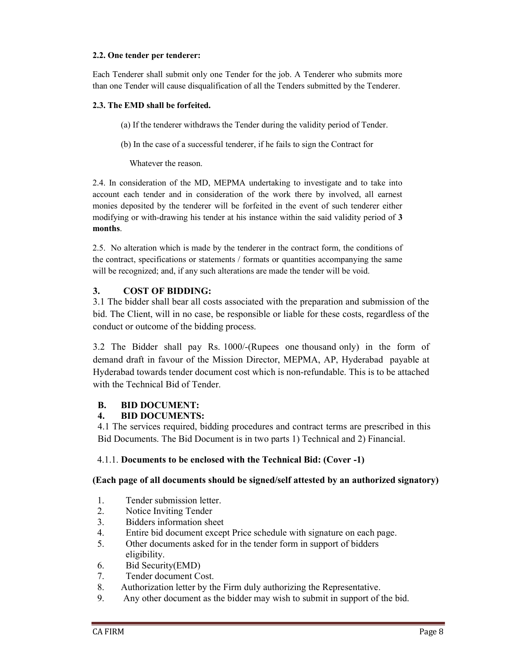#### 2.2. One tender per tenderer:

Each Tenderer shall submit only one Tender for the job. A Tenderer who submits more than one Tender will cause disqualification of all the Tenders submitted by the Tenderer.

#### 2.3. The EMD shall be forfeited.

(a) If the tenderer withdraws the Tender during the validity period of Tender.

(b) In the case of a successful tenderer, if he fails to sign the Contract for

Whatever the reason.

2.4. In consideration of the MD, MEPMA undertaking to investigate and to take into account each tender and in consideration of the work there by involved, all earnest monies deposited by the tenderer will be forfeited in the event of such tenderer either modifying or with-drawing his tender at his instance within the said validity period of 3 months.

2.5. No alteration which is made by the tenderer in the contract form, the conditions of the contract, specifications or statements / formats or quantities accompanying the same will be recognized; and, if any such alterations are made the tender will be void.

## 3. COST OF BIDDING:

3.1 The bidder shall bear all costs associated with the preparation and submission of the bid. The Client, will in no case, be responsible or liable for these costs, regardless of the conduct or outcome of the bidding process.

3.2 The Bidder shall pay Rs. 1000/-(Rupees one thousand only) in the form of demand draft in favour of the Mission Director, MEPMA, AP, Hyderabad payable at Hyderabad towards tender document cost which is non-refundable. This is to be attached with the Technical Bid of Tender.

## B. BID DOCUMENT:

## 4. BID DOCUMENTS:

4.1 The services required, bidding procedures and contract terms are prescribed in this Bid Documents. The Bid Document is in two parts 1) Technical and 2) Financial.

## 4.1.1. Documents to be enclosed with the Technical Bid: (Cover -1)

## (Each page of all documents should be signed/self attested by an authorized signatory)

- 1. Tender submission letter.
- 2. Notice Inviting Tender
- 3. Bidders information sheet
- 4. Entire bid document except Price schedule with signature on each page.
- 5. Other documents asked for in the tender form in support of bidders eligibility.
- 6. Bid Security(EMD)
- 7. Tender document Cost.
- 8. Authorization letter by the Firm duly authorizing the Representative.
- 9. Any other document as the bidder may wish to submit in support of the bid.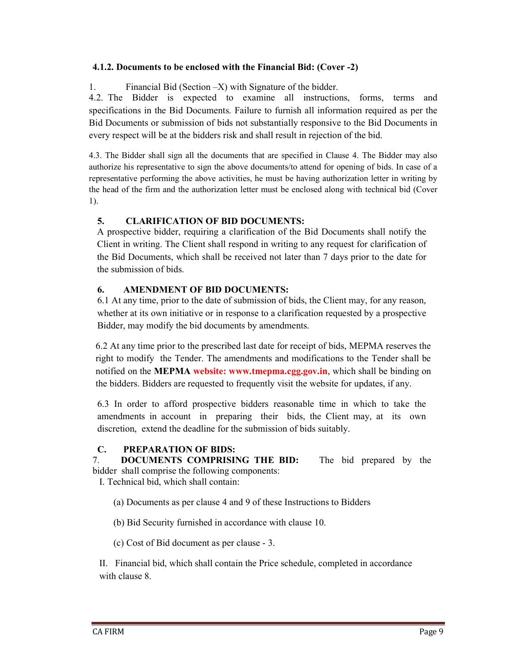## 4.1.2. Documents to be enclosed with the Financial Bid: (Cover -2)

1. Financial Bid (Section –X) with Signature of the bidder.

4.2. The Bidder is expected to examine all instructions, forms, terms and specifications in the Bid Documents. Failure to furnish all information required as per the Bid Documents or submission of bids not substantially responsive to the Bid Documents in every respect will be at the bidders risk and shall result in rejection of the bid.

4.3. The Bidder shall sign all the documents that are specified in Clause 4. The Bidder may also authorize his representative to sign the above documents/to attend for opening of bids. In case of a representative performing the above activities, he must be having authorization letter in writing by the head of the firm and the authorization letter must be enclosed along with technical bid (Cover 1).

## 5. CLARIFICATION OF BID DOCUMENTS:

A prospective bidder, requiring a clarification of the Bid Documents shall notify the Client in writing. The Client shall respond in writing to any request for clarification of the Bid Documents, which shall be received not later than 7 days prior to the date for the submission of bids.

## 6. AMENDMENT OF BID DOCUMENTS:

6.1 At any time, prior to the date of submission of bids, the Client may, for any reason, whether at its own initiative or in response to a clarification requested by a prospective Bidder, may modify the bid documents by amendments.

6.2 At any time prior to the prescribed last date for receipt of bids, MEPMA reserves the right to modify the Tender. The amendments and modifications to the Tender shall be notified on the **MEPMA website: www.tmepma.cgg.gov.in**, which shall be binding on the bidders. Bidders are requested to frequently visit the website for updates, if any.

6.3 In order to afford prospective bidders reasonable time in which to take the amendments in account in preparing their bids, the Client may, at its own discretion, extend the deadline for the submission of bids suitably.

## C. PREPARATION OF BIDS:

7. DOCUMENTS COMPRISING THE BID: The bid prepared by the bidder shall comprise the following components:

I. Technical bid, which shall contain:

(a) Documents as per clause 4 and 9 of these Instructions to Bidders

(b) Bid Security furnished in accordance with clause 10.

(c) Cost of Bid document as per clause - 3.

II. Financial bid, which shall contain the Price schedule, completed in accordance with clause 8.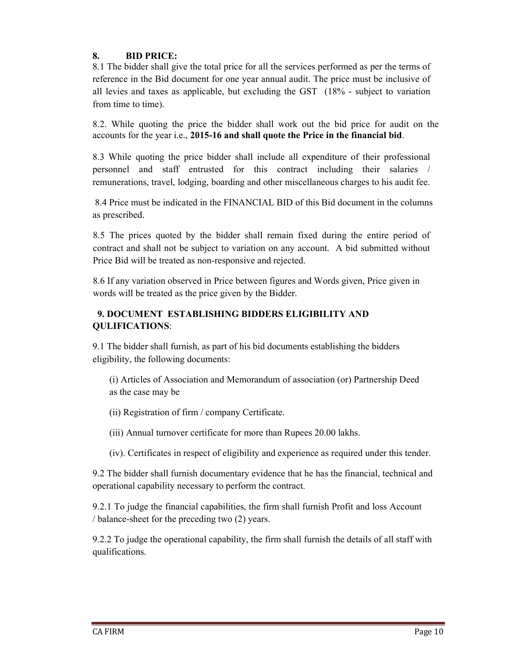## 8. BID PRICE:

8.1 The bidder shall give the total price for all the services performed as per the terms of reference in the Bid document for one year annual audit. The price must be inclusive of all levies and taxes as applicable, but excluding the GST (18% - subject to variation from time to time).

8.2. While quoting the price the bidder shall work out the bid price for audit on the accounts for the year i.e., 2015-16 and shall quote the Price in the financial bid.

8.3 While quoting the price bidder shall include all expenditure of their professional personnel and staff entrusted for this contract including their salaries / remunerations, travel, lodging, boarding and other miscellaneous charges to his audit fee.

 8.4 Price must be indicated in the FINANCIAL BID of this Bid document in the columns as prescribed.

8.5 The prices quoted by the bidder shall remain fixed during the entire period of contract and shall not be subject to variation on any account. A bid submitted without Price Bid will be treated as non-responsive and rejected.

8.6 If any variation observed in Price between figures and Words given, Price given in words will be treated as the price given by the Bidder.

## 9. DOCUMENT ESTABLISHING BIDDERS ELIGIBILITY AND QULIFICATIONS:

9.1 The bidder shall furnish, as part of his bid documents establishing the bidders eligibility, the following documents:

(i) Articles of Association and Memorandum of association (or) Partnership Deed as the case may be

(ii) Registration of firm / company Certificate.

(iii) Annual turnover certificate for more than Rupees 20.00 lakhs.

(iv). Certificates in respect of eligibility and experience as required under this tender.

9.2 The bidder shall furnish documentary evidence that he has the financial, technical and operational capability necessary to perform the contract.

9.2.1 To judge the financial capabilities, the firm shall furnish Profit and loss Account / balance-sheet for the preceding two (2) years.

9.2.2 To judge the operational capability, the firm shall furnish the details of all staff with qualifications.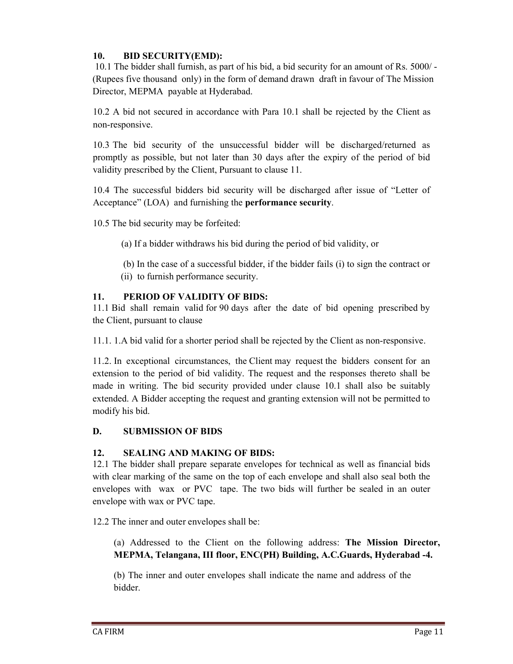## 10. BID SECURITY(EMD):

 10.1 The bidder shall furnish, as part of his bid, a bid security for an amount of Rs. 5000/ - (Rupees five thousand only) in the form of demand drawn draft in favour of The Mission Director, MEPMA payable at Hyderabad.

10.2 A bid not secured in accordance with Para 10.1 shall be rejected by the Client as non-responsive.

10.3 The bid security of the unsuccessful bidder will be discharged/returned as promptly as possible, but not later than 30 days after the expiry of the period of bid validity prescribed by the Client, Pursuant to clause 11.

10.4 The successful bidders bid security will be discharged after issue of "Letter of Acceptance" (LOA) and furnishing the performance security.

10.5 The bid security may be forfeited:

(a) If a bidder withdraws his bid during the period of bid validity, or

 (b) In the case of a successful bidder, if the bidder fails (i) to sign the contract or (ii) to furnish performance security.

## 11. PERIOD OF VALIDITY OF BIDS:

11.1 Bid shall remain valid for 90 days after the date of bid opening prescribed by the Client, pursuant to clause

11.1. 1.A bid valid for a shorter period shall be rejected by the Client as non-responsive.

11.2. In exceptional circumstances, the Client may request the bidders consent for an extension to the period of bid validity. The request and the responses thereto shall be made in writing. The bid security provided under clause 10.1 shall also be suitably extended. A Bidder accepting the request and granting extension will not be permitted to modify his bid.

## D. SUBMISSION OF BIDS

## 12. SEALING AND MAKING OF BIDS:

12.1 The bidder shall prepare separate envelopes for technical as well as financial bids with clear marking of the same on the top of each envelope and shall also seal both the envelopes with wax or PVC tape. The two bids will further be sealed in an outer envelope with wax or PVC tape.

12.2 The inner and outer envelopes shall be:

(a) Addressed to the Client on the following address: The Mission Director, MEPMA, Telangana, III floor, ENC(PH) Building, A.C.Guards, Hyderabad -4.

(b) The inner and outer envelopes shall indicate the name and address of the bidder.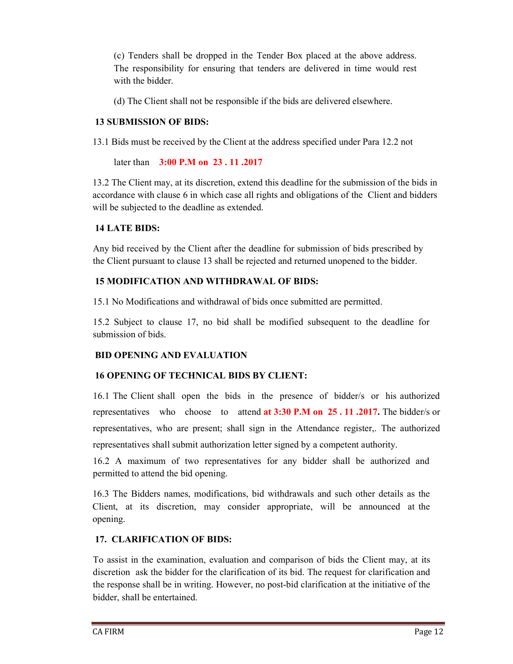(c) Tenders shall be dropped in the Tender Box placed at the above address. The responsibility for ensuring that tenders are delivered in time would rest with the bidder.

(d) The Client shall not be responsible if the bids are delivered elsewhere.

## 13 SUBMISSION OF BIDS:

13.1 Bids must be received by the Client at the address specified under Para 12.2 not

later than 3:00 P.M on 23 . 11 .2017

13.2 The Client may, at its discretion, extend this deadline for the submission of the bids in accordance with clause 6 in which case all rights and obligations of the Client and bidders will be subjected to the deadline as extended.

## 14 LATE BIDS:

Any bid received by the Client after the deadline for submission of bids prescribed by the Client pursuant to clause 13 shall be rejected and returned unopened to the bidder.

## 15 MODIFICATION AND WITHDRAWAL OF BIDS:

15.1 No Modifications and withdrawal of bids once submitted are permitted.

15.2 Subject to clause 17, no bid shall be modified subsequent to the deadline for submission of bids.

## BID OPENING AND EVALUATION

## 16 OPENING OF TECHNICAL BIDS BY CLIENT:

16.1 The Client shall open the bids in the presence of bidder/s or his authorized representatives who choose to attend at  $3:30$  P.M on 25 . 11 .2017. The bidder/s or representatives, who are present; shall sign in the Attendance register,. The authorized representatives shall submit authorization letter signed by a competent authority.

16.2 A maximum of two representatives for any bidder shall be authorized and permitted to attend the bid opening.

16.3 The Bidders names, modifications, bid withdrawals and such other details as the Client, at its discretion, may consider appropriate, will be announced at the opening.

## 17. CLARIFICATION OF BIDS:

To assist in the examination, evaluation and comparison of bids the Client may, at its discretion ask the bidder for the clarification of its bid. The request for clarification and the response shall be in writing. However, no post-bid clarification at the initiative of the bidder, shall be entertained.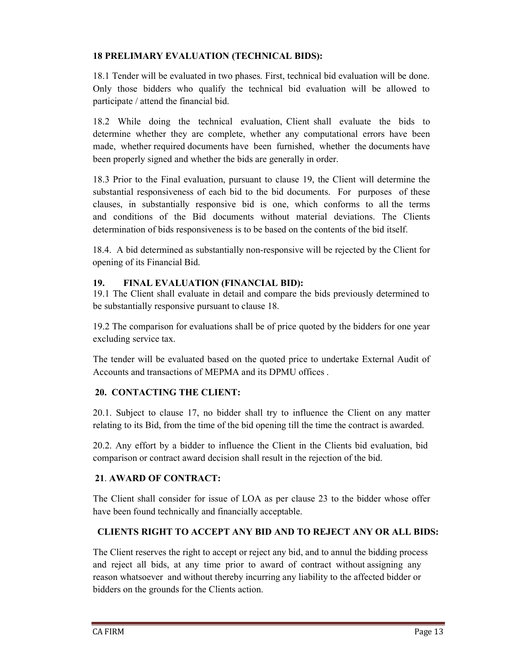## 18 PRELIMARY EVALUATION (TECHNICAL BIDS):

18.1 Tender will be evaluated in two phases. First, technical bid evaluation will be done. Only those bidders who qualify the technical bid evaluation will be allowed to participate / attend the financial bid.

18.2 While doing the technical evaluation, Client shall evaluate the bids to determine whether they are complete, whether any computational errors have been made, whether required documents have been furnished, whether the documents have been properly signed and whether the bids are generally in order.

18.3 Prior to the Final evaluation, pursuant to clause 19, the Client will determine the substantial responsiveness of each bid to the bid documents. For purposes of these clauses, in substantially responsive bid is one, which conforms to all the terms and conditions of the Bid documents without material deviations. The Clients determination of bids responsiveness is to be based on the contents of the bid itself.

18.4. A bid determined as substantially non-responsive will be rejected by the Client for opening of its Financial Bid.

## 19. FINAL EVALUATION (FINANCIAL BID):

19.1 The Client shall evaluate in detail and compare the bids previously determined to be substantially responsive pursuant to clause 18.

19.2 The comparison for evaluations shall be of price quoted by the bidders for one year excluding service tax.

The tender will be evaluated based on the quoted price to undertake External Audit of Accounts and transactions of MEPMA and its DPMU offices .

## 20. CONTACTING THE CLIENT:

20.1. Subject to clause 17, no bidder shall try to influence the Client on any matter relating to its Bid, from the time of the bid opening till the time the contract is awarded.

20.2. Any effort by a bidder to influence the Client in the Clients bid evaluation, bid comparison or contract award decision shall result in the rejection of the bid.

## 21. AWARD OF CONTRACT:

The Client shall consider for issue of LOA as per clause 23 to the bidder whose offer have been found technically and financially acceptable.

## CLIENTS RIGHT TO ACCEPT ANY BID AND TO REJECT ANY OR ALL BIDS:

The Client reserves the right to accept or reject any bid, and to annul the bidding process and reject all bids, at any time prior to award of contract without assigning any reason whatsoever and without thereby incurring any liability to the affected bidder or bidders on the grounds for the Clients action.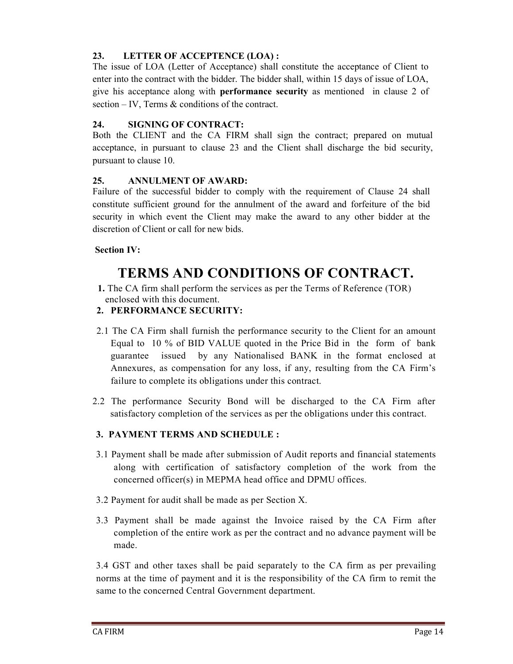## 23. LETTER OF ACCEPTENCE (LOA) :

The issue of LOA (Letter of Acceptance) shall constitute the acceptance of Client to enter into the contract with the bidder. The bidder shall, within 15 days of issue of LOA, give his acceptance along with performance security as mentioned in clause 2 of section – IV, Terms & conditions of the contract.

## 24. SIGNING OF CONTRACT:

Both the CLIENT and the CA FIRM shall sign the contract; prepared on mutual acceptance, in pursuant to clause 23 and the Client shall discharge the bid security, pursuant to clause 10.

## 25. ANNULMENT OF AWARD:

Failure of the successful bidder to comply with the requirement of Clause 24 shall constitute sufficient ground for the annulment of the award and forfeiture of the bid security in which event the Client may make the award to any other bidder at the discretion of Client or call for new bids.

## Section IV:

# TERMS AND CONDITIONS OF CONTRACT.

 1. The CA firm shall perform the services as per the Terms of Reference (TOR) enclosed with this document.

## 2. PERFORMANCE SECURITY:

- 2.1 The CA Firm shall furnish the performance security to the Client for an amount Equal to 10 % of BID VALUE quoted in the Price Bid in the form of bank guarantee issued by any Nationalised BANK in the format enclosed at Annexures, as compensation for any loss, if any, resulting from the CA Firm's failure to complete its obligations under this contract.
- 2.2 The performance Security Bond will be discharged to the CA Firm after satisfactory completion of the services as per the obligations under this contract.

## 3. PAYMENT TERMS AND SCHEDULE :

- 3.1 Payment shall be made after submission of Audit reports and financial statements along with certification of satisfactory completion of the work from the concerned officer(s) in MEPMA head office and DPMU offices.
- 3.2 Payment for audit shall be made as per Section X.
- 3.3 Payment shall be made against the Invoice raised by the CA Firm after completion of the entire work as per the contract and no advance payment will be made.

3.4 GST and other taxes shall be paid separately to the CA firm as per prevailing norms at the time of payment and it is the responsibility of the CA firm to remit the same to the concerned Central Government department.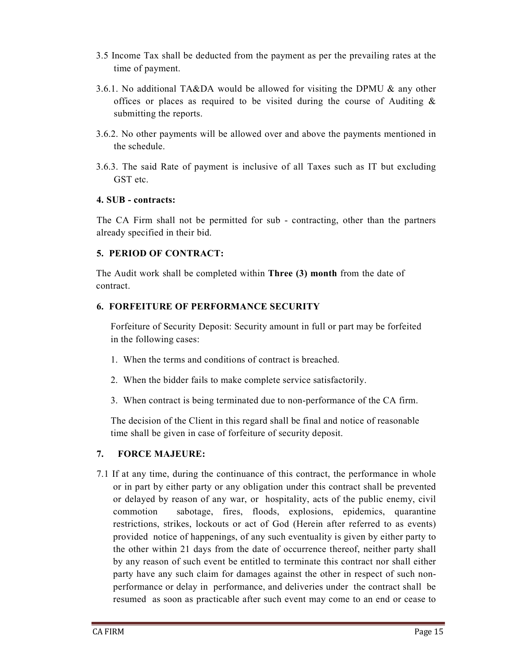- 3.5 Income Tax shall be deducted from the payment as per the prevailing rates at the time of payment.
- 3.6.1. No additional TA&DA would be allowed for visiting the DPMU & any other offices or places as required to be visited during the course of Auditing  $\&$ submitting the reports.
- 3.6.2. No other payments will be allowed over and above the payments mentioned in the schedule.
- 3.6.3. The said Rate of payment is inclusive of all Taxes such as IT but excluding GST etc.

## 4. SUB - contracts:

The CA Firm shall not be permitted for sub - contracting, other than the partners already specified in their bid.

## 5. PERIOD OF CONTRACT:

The Audit work shall be completed within Three (3) month from the date of contract.

## 6. FORFEITURE OF PERFORMANCE SECURITY

Forfeiture of Security Deposit: Security amount in full or part may be forfeited in the following cases:

- 1. When the terms and conditions of contract is breached.
- 2. When the bidder fails to make complete service satisfactorily.
- 3. When contract is being terminated due to non-performance of the CA firm.

The decision of the Client in this regard shall be final and notice of reasonable time shall be given in case of forfeiture of security deposit.

## 7. FORCE MAJEURE:

7.1 If at any time, during the continuance of this contract, the performance in whole or in part by either party or any obligation under this contract shall be prevented or delayed by reason of any war, or hospitality, acts of the public enemy, civil commotion sabotage, fires, floods, explosions, epidemics, quarantine restrictions, strikes, lockouts or act of God (Herein after referred to as events) provided notice of happenings, of any such eventuality is given by either party to the other within 21 days from the date of occurrence thereof, neither party shall by any reason of such event be entitled to terminate this contract nor shall either party have any such claim for damages against the other in respect of such nonperformance or delay in performance, and deliveries under the contract shall be resumed as soon as practicable after such event may come to an end or cease to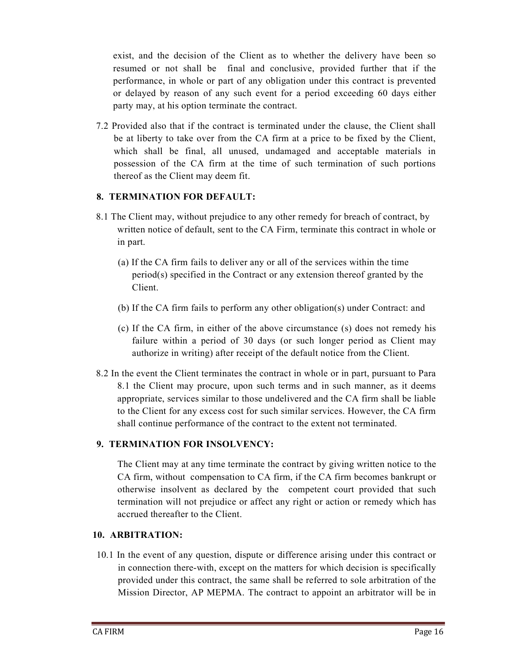exist, and the decision of the Client as to whether the delivery have been so resumed or not shall be final and conclusive, provided further that if the performance, in whole or part of any obligation under this contract is prevented or delayed by reason of any such event for a period exceeding 60 days either party may, at his option terminate the contract.

7.2 Provided also that if the contract is terminated under the clause, the Client shall be at liberty to take over from the CA firm at a price to be fixed by the Client, which shall be final, all unused, undamaged and acceptable materials in possession of the CA firm at the time of such termination of such portions thereof as the Client may deem fit.

## 8. TERMINATION FOR DEFAULT:

- 8.1 The Client may, without prejudice to any other remedy for breach of contract, by written notice of default, sent to the CA Firm, terminate this contract in whole or in part.
	- (a) If the CA firm fails to deliver any or all of the services within the time period(s) specified in the Contract or any extension thereof granted by the Client.
	- (b) If the CA firm fails to perform any other obligation(s) under Contract: and
	- (c) If the CA firm, in either of the above circumstance (s) does not remedy his failure within a period of 30 days (or such longer period as Client may authorize in writing) after receipt of the default notice from the Client.
- 8.2 In the event the Client terminates the contract in whole or in part, pursuant to Para 8.1 the Client may procure, upon such terms and in such manner, as it deems appropriate, services similar to those undelivered and the CA firm shall be liable to the Client for any excess cost for such similar services. However, the CA firm shall continue performance of the contract to the extent not terminated.

## 9. TERMINATION FOR INSOLVENCY:

The Client may at any time terminate the contract by giving written notice to the CA firm, without compensation to CA firm, if the CA firm becomes bankrupt or otherwise insolvent as declared by the competent court provided that such termination will not prejudice or affect any right or action or remedy which has accrued thereafter to the Client.

## 10. ARBITRATION:

10.1 In the event of any question, dispute or difference arising under this contract or in connection there-with, except on the matters for which decision is specifically provided under this contract, the same shall be referred to sole arbitration of the Mission Director, AP MEPMA. The contract to appoint an arbitrator will be in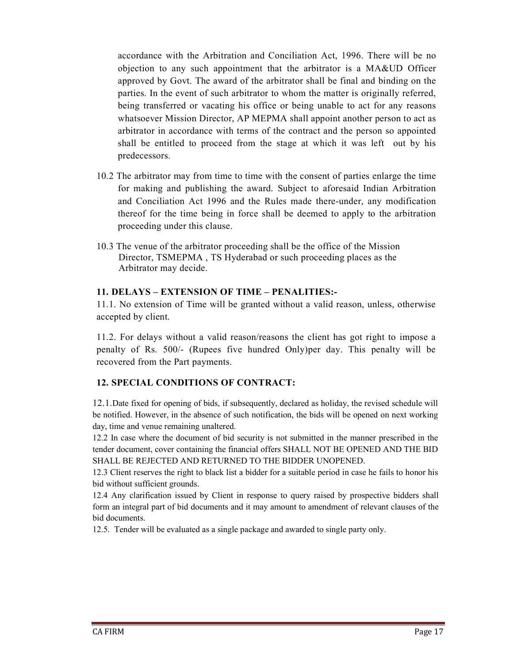accordance with the Arbitration and Conciliation Act, 1996. There will be no objection to any such appointment that the arbitrator is a MA&UD Officer approved by Govt. The award of the arbitrator shall be final and binding on the parties. In the event of such arbitrator to whom the matter is originally referred, being transferred or vacating his office or being unable to act for any reasons whatsoever Mission Director, AP MEPMA shall appoint another person to act as arbitrator in accordance with terms of the contract and the person so appointed shall be entitled to proceed from the stage at which it was left out by his predecessors.

- 10.2 The arbitrator may from time to time with the consent of parties enlarge the time for making and publishing the award. Subject to aforesaid Indian Arbitration and Conciliation Act 1996 and the Rules made there-under, any modification thereof for the time being in force shall be deemed to apply to the arbitration proceeding under this clause.
- 10.3 The venue of the arbitrator proceeding shall be the office of the Mission Director, TSMEPMA , TS Hyderabad or such proceeding places as the Arbitrator may decide.

## 11. DELAYS – EXTENSION OF TIME – PENALITIES:-

11.1. No extension of Time will be granted without a valid reason, unless, otherwise accepted by client.

11.2. For delays without a valid reason/reasons the client has got right to impose a penalty of Rs. 500/- (Rupees five hundred Only)per day. This penalty will be recovered from the Part payments.

## 12. SPECIAL CONDITIONS OF CONTRACT:

12.1.Date fixed for opening of bids, if subsequently, declared as holiday, the revised schedule will be notified. However, in the absence of such notification, the bids will be opened on next working day, time and venue remaining unaltered.

12.2 In case where the document of bid security is not submitted in the manner prescribed in the tender document, cover containing the financial offers SHALL NOT BE OPENED AND THE BID SHALL BE REJECTED AND RETURNED TO THE BIDDER UNOPENED.

12.3 Client reserves the right to black list a bidder for a suitable period in case he fails to honor his bid without sufficient grounds.

12.4 Any clarification issued by Client in response to query raised by prospective bidders shall form an integral part of bid documents and it may amount to amendment of relevant clauses of the bid documents.

12.5. Tender will be evaluated as a single package and awarded to single party only.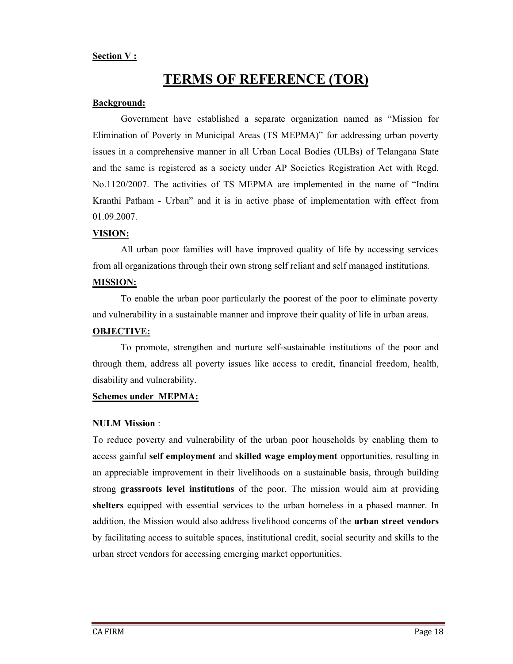#### Section V :

# TERMS OF REFERENCE (TOR)

#### Background:

Government have established a separate organization named as "Mission for Elimination of Poverty in Municipal Areas (TS MEPMA)" for addressing urban poverty issues in a comprehensive manner in all Urban Local Bodies (ULBs) of Telangana State and the same is registered as a society under AP Societies Registration Act with Regd. No.1120/2007. The activities of TS MEPMA are implemented in the name of "Indira Kranthi Patham - Urban" and it is in active phase of implementation with effect from 01.09.2007.

#### VISION:

All urban poor families will have improved quality of life by accessing services from all organizations through their own strong self reliant and self managed institutions.

#### MISSION:

To enable the urban poor particularly the poorest of the poor to eliminate poverty and vulnerability in a sustainable manner and improve their quality of life in urban areas.

#### OBJECTIVE:

To promote, strengthen and nurture self-sustainable institutions of the poor and through them, address all poverty issues like access to credit, financial freedom, health, disability and vulnerability.

#### Schemes under MEPMA:

#### NULM Mission :

To reduce poverty and vulnerability of the urban poor households by enabling them to access gainful self employment and skilled wage employment opportunities, resulting in an appreciable improvement in their livelihoods on a sustainable basis, through building strong grassroots level institutions of the poor. The mission would aim at providing shelters equipped with essential services to the urban homeless in a phased manner. In addition, the Mission would also address livelihood concerns of the urban street vendors by facilitating access to suitable spaces, institutional credit, social security and skills to the urban street vendors for accessing emerging market opportunities.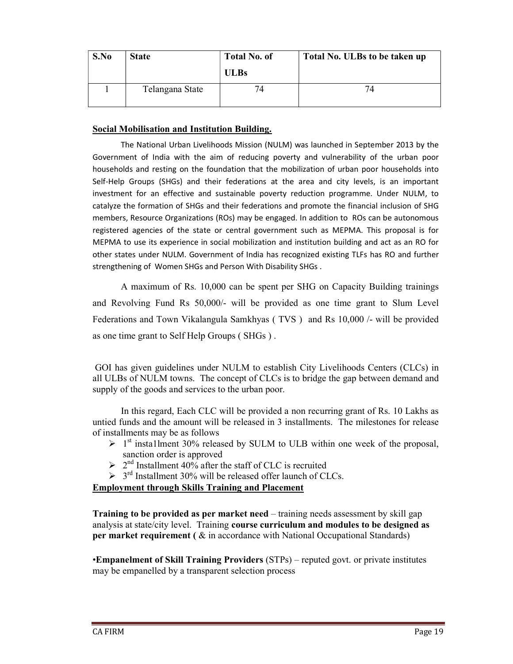| S.No | <b>State</b>    | <b>Total No. of</b><br><b>ULBs</b> | Total No. ULBs to be taken up |
|------|-----------------|------------------------------------|-------------------------------|
|      | Telangana State | 74                                 |                               |

## Social Mobilisation and Institution Building.

The National Urban Livelihoods Mission (NULM) was launched in September 2013 by the Government of India with the aim of reducing poverty and vulnerability of the urban poor households and resting on the foundation that the mobilization of urban poor households into Self-Help Groups (SHGs) and their federations at the area and city levels, is an important investment for an effective and sustainable poverty reduction programme. Under NULM, to catalyze the formation of SHGs and their federations and promote the financial inclusion of SHG members, Resource Organizations (ROs) may be engaged. In addition to ROs can be autonomous registered agencies of the state or central government such as MEPMA. This proposal is for MEPMA to use its experience in social mobilization and institution building and act as an RO for other states under NULM. Government of India has recognized existing TLFs has RO and further strengthening of Women SHGs and Person With Disability SHGs .

A maximum of Rs. 10,000 can be spent per SHG on Capacity Building trainings and Revolving Fund Rs 50,000/- will be provided as one time grant to Slum Level Federations and Town Vikalangula Samkhyas ( TVS ) and Rs 10,000 /- will be provided as one time grant to Self Help Groups ( SHGs ) .

 GOI has given guidelines under NULM to establish City Livelihoods Centers (CLCs) in all ULBs of NULM towns. The concept of CLCs is to bridge the gap between demand and supply of the goods and services to the urban poor.

 In this regard, Each CLC will be provided a non recurring grant of Rs. 10 Lakhs as untied funds and the amount will be released in 3 installments. The milestones for release of installments may be as follows

- $\geq 1$ <sup>st</sup> insta1lment 30% released by SULM to ULB within one week of the proposal, sanction order is approved
- $\geq 2^{nd}$  Installment 40% after the staff of CLC is recruited
- $\triangleright$  3<sup>rd</sup> Installment 30% will be released offer launch of CLCs.

## Employment through Skills Training and Placement

Training to be provided as per market need – training needs assessment by skill gap analysis at state/city level. Training course curriculum and modules to be designed as per market requirement ( & in accordance with National Occupational Standards)

•Empanelment of Skill Training Providers (STPs) – reputed govt. or private institutes may be empanelled by a transparent selection process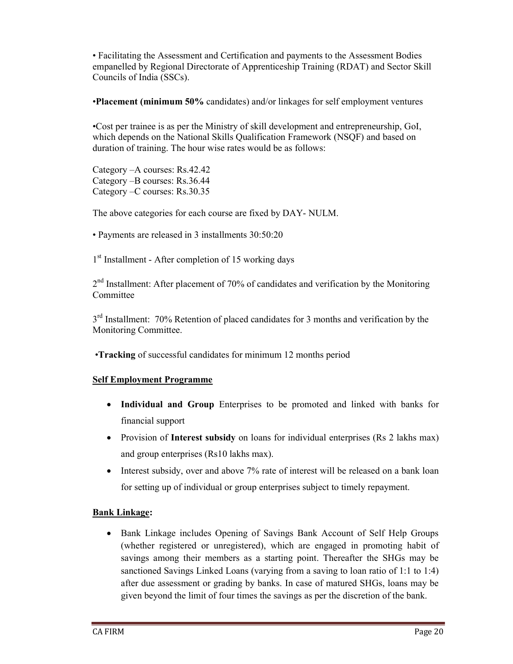• Facilitating the Assessment and Certification and payments to the Assessment Bodies empanelled by Regional Directorate of Apprenticeship Training (RDAT) and Sector Skill Councils of India (SSCs).

•Placement (minimum 50% candidates) and/or linkages for self employment ventures

•Cost per trainee is as per the Ministry of skill development and entrepreneurship, GoI, which depends on the National Skills Qualification Framework (NSQF) and based on duration of training. The hour wise rates would be as follows:

Category –A courses: Rs.42.42 Category –B courses: Rs.36.44 Category –C courses: Rs.30.35

The above categories for each course are fixed by DAY- NULM.

• Payments are released in 3 installments 30:50:20

1 st Installment - After completion of 15 working days

 $2<sup>nd</sup>$  Installment: After placement of 70% of candidates and verification by the Monitoring Committee

3<sup>rd</sup> Installment: 70% Retention of placed candidates for 3 months and verification by the Monitoring Committee.

•Tracking of successful candidates for minimum 12 months period

## Self Employment Programme

- Individual and Group Enterprises to be promoted and linked with banks for financial support
- Provision of Interest subsidy on loans for individual enterprises (Rs 2 lakhs max) and group enterprises (Rs10 lakhs max).
- Interest subsidy, over and above 7% rate of interest will be released on a bank loan for setting up of individual or group enterprises subject to timely repayment.

#### Bank Linkage:

• Bank Linkage includes Opening of Savings Bank Account of Self Help Groups (whether registered or unregistered), which are engaged in promoting habit of savings among their members as a starting point. Thereafter the SHGs may be sanctioned Savings Linked Loans (varying from a saving to loan ratio of 1:1 to 1:4) after due assessment or grading by banks. In case of matured SHGs, loans may be given beyond the limit of four times the savings as per the discretion of the bank.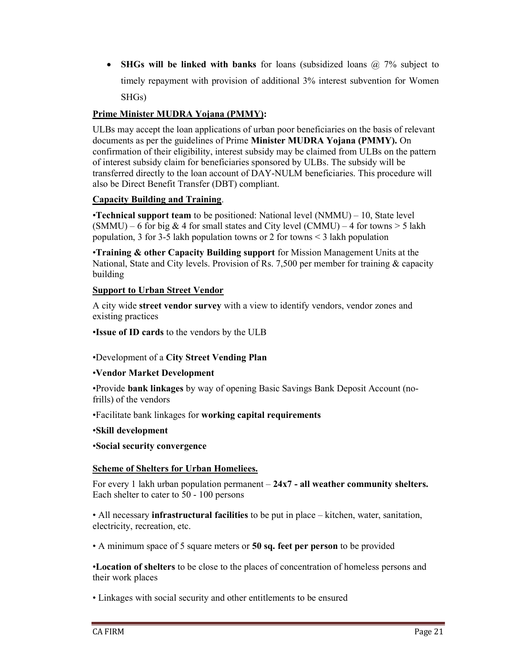• SHGs will be linked with banks for loans (subsidized loans  $\omega$  7% subject to timely repayment with provision of additional 3% interest subvention for Women SHGs)

## Prime Minister MUDRA Yojana (PMMY):

ULBs may accept the loan applications of urban poor beneficiaries on the basis of relevant documents as per the guidelines of Prime Minister MUDRA Yojana (PMMY). On confirmation of their eligibility, interest subsidy may be claimed from ULBs on the pattern of interest subsidy claim for beneficiaries sponsored by ULBs. The subsidy will be transferred directly to the loan account of DAY-NULM beneficiaries. This procedure will also be Direct Benefit Transfer (DBT) compliant.

## Capacity Building and Training.

•Technical support team to be positioned: National level  $(NMMU) - 10$ , State level  $(SMMU) - 6$  for big & 4 for small states and City level  $(CMMU) - 4$  for towns  $> 5$  lakh population, 3 for 3-5 lakh population towns or 2 for towns < 3 lakh population

•Training & other Capacity Building support for Mission Management Units at the National, State and City levels. Provision of Rs. 7,500 per member for training & capacity building

## **Support to Urban Street Vendor**

A city wide street vendor survey with a view to identify vendors, vendor zones and existing practices

•Issue of ID cards to the vendors by the ULB

•Development of a City Street Vending Plan

## •Vendor Market Development

•Provide bank linkages by way of opening Basic Savings Bank Deposit Account (nofrills) of the vendors

•Facilitate bank linkages for working capital requirements

## •Skill development

•Social security convergence

## Scheme of Shelters for Urban Homeliees.

For every 1 lakh urban population permanent  $-24x7$  - all weather community shelters. Each shelter to cater to 50 - 100 persons

• All necessary infrastructural facilities to be put in place – kitchen, water, sanitation, electricity, recreation, etc.

• A minimum space of 5 square meters or 50 sq. feet per person to be provided

•Location of shelters to be close to the places of concentration of homeless persons and their work places

• Linkages with social security and other entitlements to be ensured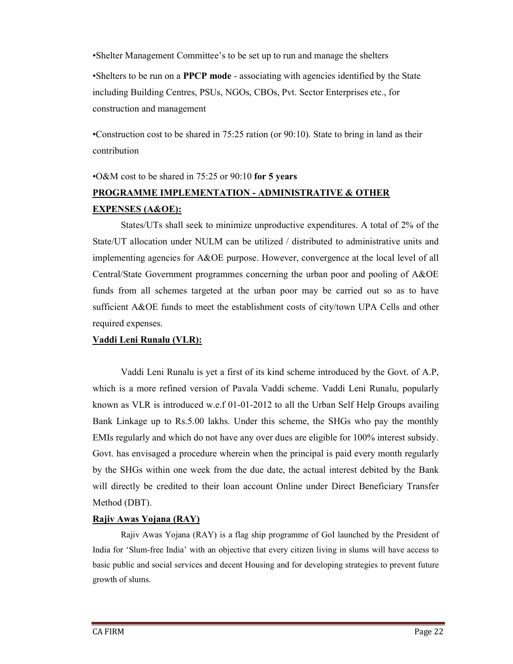•Shelter Management Committee's to be set up to run and manage the shelters

•Shelters to be run on a **PPCP mode** - associating with agencies identified by the State including Building Centres, PSUs, NGOs, CBOs, Pvt. Sector Enterprises etc., for construction and management

•Construction cost to be shared in 75:25 ration (or 90:10). State to bring in land as their contribution

#### •O&M cost to be shared in 75:25 or 90:10 for 5 years

# PROGRAMME IMPLEMENTATION - ADMINISTRATIVE & OTHER EXPENSES (A&OE):

States/UTs shall seek to minimize unproductive expenditures. A total of 2% of the State/UT allocation under NULM can be utilized / distributed to administrative units and implementing agencies for A&OE purpose. However, convergence at the local level of all Central/State Government programmes concerning the urban poor and pooling of A&OE funds from all schemes targeted at the urban poor may be carried out so as to have sufficient A&OE funds to meet the establishment costs of city/town UPA Cells and other required expenses.

## Vaddi Leni Runalu (VLR):

Vaddi Leni Runalu is yet a first of its kind scheme introduced by the Govt. of A.P, which is a more refined version of Pavala Vaddi scheme. Vaddi Leni Runalu, popularly known as VLR is introduced w.e.f 01-01-2012 to all the Urban Self Help Groups availing Bank Linkage up to Rs.5.00 lakhs. Under this scheme, the SHGs who pay the monthly EMIs regularly and which do not have any over dues are eligible for 100% interest subsidy. Govt. has envisaged a procedure wherein when the principal is paid every month regularly by the SHGs within one week from the due date, the actual interest debited by the Bank will directly be credited to their loan account Online under Direct Beneficiary Transfer Method (DBT).

## Rajiv Awas Yojana (RAY)

Rajiv Awas Yojana (RAY) is a flag ship programme of GoI launched by the President of India for 'Slum-free India' with an objective that every citizen living in slums will have access to basic public and social services and decent Housing and for developing strategies to prevent future growth of slums.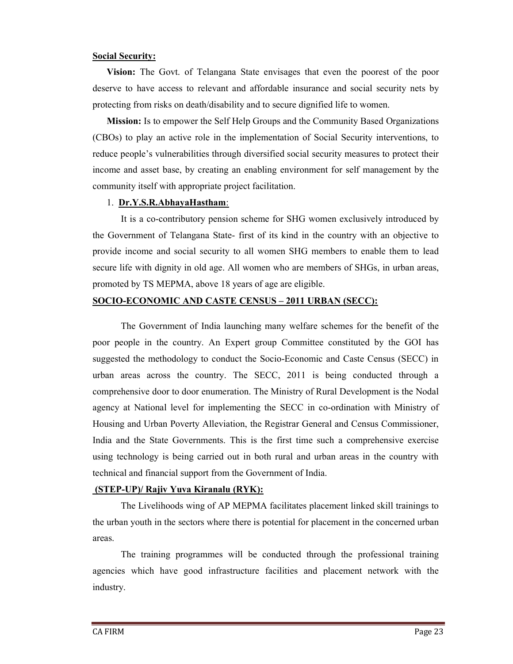#### Social Security:

Vision: The Govt. of Telangana State envisages that even the poorest of the poor deserve to have access to relevant and affordable insurance and social security nets by protecting from risks on death/disability and to secure dignified life to women.

Mission: Is to empower the Self Help Groups and the Community Based Organizations (CBOs) to play an active role in the implementation of Social Security interventions, to reduce people's vulnerabilities through diversified social security measures to protect their income and asset base, by creating an enabling environment for self management by the community itself with appropriate project facilitation.

#### 1. Dr.Y.S.R.AbhayaHastham:

It is a co-contributory pension scheme for SHG women exclusively introduced by the Government of Telangana State- first of its kind in the country with an objective to provide income and social security to all women SHG members to enable them to lead secure life with dignity in old age. All women who are members of SHGs, in urban areas, promoted by TS MEPMA, above 18 years of age are eligible.

#### SOCIO-ECONOMIC AND CASTE CENSUS – 2011 URBAN (SECC):

The Government of India launching many welfare schemes for the benefit of the poor people in the country. An Expert group Committee constituted by the GOI has suggested the methodology to conduct the Socio-Economic and Caste Census (SECC) in urban areas across the country. The SECC, 2011 is being conducted through a comprehensive door to door enumeration. The Ministry of Rural Development is the Nodal agency at National level for implementing the SECC in co-ordination with Ministry of Housing and Urban Poverty Alleviation, the Registrar General and Census Commissioner, India and the State Governments. This is the first time such a comprehensive exercise using technology is being carried out in both rural and urban areas in the country with technical and financial support from the Government of India.

#### (STEP-UP)/ Rajiv Yuva Kiranalu (RYK):

The Livelihoods wing of AP MEPMA facilitates placement linked skill trainings to the urban youth in the sectors where there is potential for placement in the concerned urban areas.

The training programmes will be conducted through the professional training agencies which have good infrastructure facilities and placement network with the industry.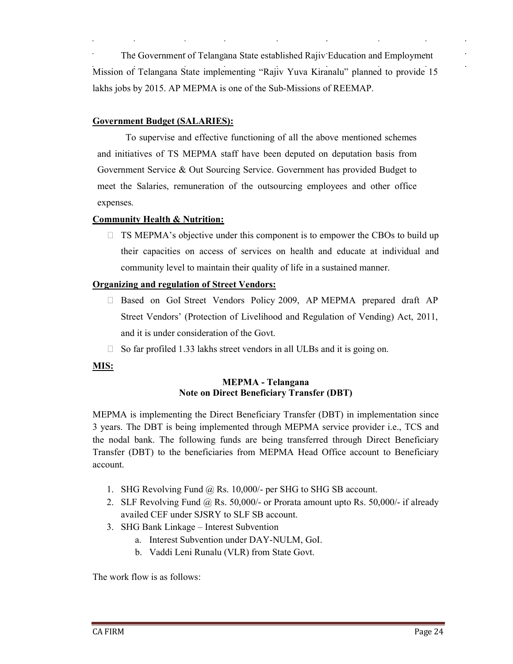The Government of Telangana State established Rajiv Education and Employment Mission of Telangana State implementing "Rajiv Yuva Kiranalu" planned to provide 15 lakhs jobs by 2015. AP MEPMA is one of the Sub-Missions of REEMAP.

## Government Budget (SALARIES):

To supervise and effective functioning of all the above mentioned schemes and initiatives of TS MEPMA staff have been deputed on deputation basis from Government Service & Out Sourcing Service. Government has provided Budget to meet the Salaries, remuneration of the outsourcing employees and other office expenses.

## Community Health & Nutrition:

 $\Box$  TS MEPMA's objective under this component is to empower the CBOs to build up their capacities on access of services on health and educate at individual and community level to maintain their quality of life in a sustained manner.

## Organizing and regulation of Street Vendors:

- Based on GoI Street Vendors Policy 2009, AP MEPMA prepared draft AP Street Vendors' (Protection of Livelihood and Regulation of Vending) Act, 2011, and it is under consideration of the Govt.
- $\Box$  So far profiled 1.33 lakhs street vendors in all ULBs and it is going on.

## MIS:

#### MEPMA - Telangana Note on Direct Beneficiary Transfer (DBT)

MEPMA is implementing the Direct Beneficiary Transfer (DBT) in implementation since 3 years. The DBT is being implemented through MEPMA service provider i.e., TCS and the nodal bank. The following funds are being transferred through Direct Beneficiary Transfer (DBT) to the beneficiaries from MEPMA Head Office account to Beneficiary account.

- 1. SHG Revolving Fund @ Rs. 10,000/- per SHG to SHG SB account.
- 2. SLF Revolving Fund @ Rs. 50,000/- or Prorata amount upto Rs. 50,000/- if already availed CEF under SJSRY to SLF SB account.
- 3. SHG Bank Linkage Interest Subvention
	- a. Interest Subvention under DAY-NULM, GoI.
	- b. Vaddi Leni Runalu (VLR) from State Govt.

The work flow is as follows: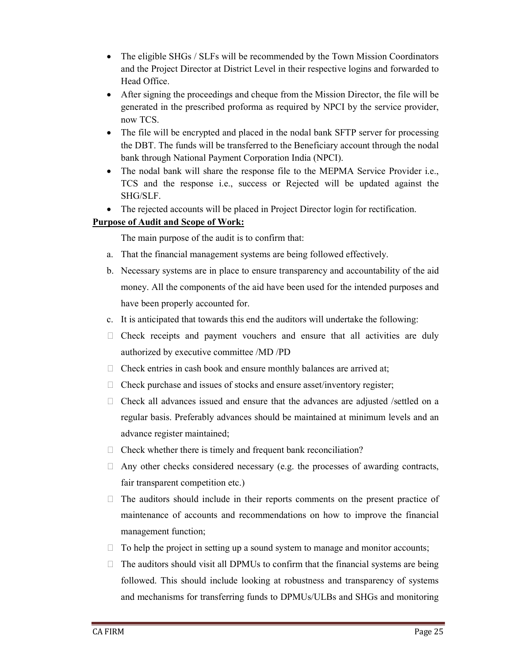- The eligible SHGs / SLFs will be recommended by the Town Mission Coordinators and the Project Director at District Level in their respective logins and forwarded to Head Office.
- After signing the proceedings and cheque from the Mission Director, the file will be generated in the prescribed proforma as required by NPCI by the service provider, now TCS.
- The file will be encrypted and placed in the nodal bank SFTP server for processing the DBT. The funds will be transferred to the Beneficiary account through the nodal bank through National Payment Corporation India (NPCI).
- The nodal bank will share the response file to the MEPMA Service Provider i.e., TCS and the response i.e., success or Rejected will be updated against the SHG/SLF.
- The rejected accounts will be placed in Project Director login for rectification.

## Purpose of Audit and Scope of Work:

The main purpose of the audit is to confirm that:

- a. That the financial management systems are being followed effectively.
- b. Necessary systems are in place to ensure transparency and accountability of the aid money. All the components of the aid have been used for the intended purposes and have been properly accounted for.
- c. It is anticipated that towards this end the auditors will undertake the following:
- $\Box$  Check receipts and payment vouchers and ensure that all activities are duly authorized by executive committee /MD /PD
- $\Box$  Check entries in cash book and ensure monthly balances are arrived at;
- $\Box$  Check purchase and issues of stocks and ensure asset/inventory register;
- $\Box$  Check all advances issued and ensure that the advances are adjusted /settled on a regular basis. Preferably advances should be maintained at minimum levels and an advance register maintained;
- $\Box$  Check whether there is timely and frequent bank reconciliation?
- $\Box$  Any other checks considered necessary (e.g. the processes of awarding contracts, fair transparent competition etc.)
- $\Box$  The auditors should include in their reports comments on the present practice of maintenance of accounts and recommendations on how to improve the financial management function;
- $\Box$  To help the project in setting up a sound system to manage and monitor accounts;
- $\Box$  The auditors should visit all DPMUs to confirm that the financial systems are being followed. This should include looking at robustness and transparency of systems and mechanisms for transferring funds to DPMUs/ULBs and SHGs and monitoring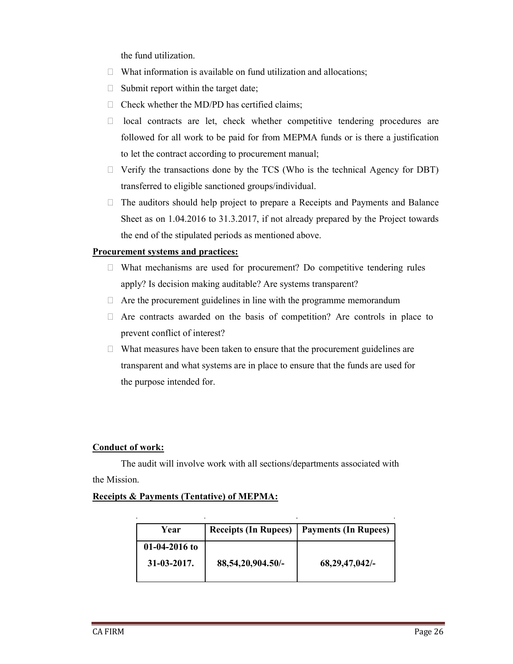the fund utilization.

- $\Box$  What information is available on fund utilization and allocations;
- $\Box$  Submit report within the target date;
- $\Box$  Check whether the MD/PD has certified claims;
- $\Box$  local contracts are let, check whether competitive tendering procedures are followed for all work to be paid for from MEPMA funds or is there a justification to let the contract according to procurement manual;
- $\Box$  Verify the transactions done by the TCS (Who is the technical Agency for DBT) transferred to eligible sanctioned groups/individual.
- $\Box$  The auditors should help project to prepare a Receipts and Payments and Balance Sheet as on 1.04.2016 to 31.3.2017, if not already prepared by the Project towards the end of the stipulated periods as mentioned above.

## Procurement systems and practices:

- $\Box$  What mechanisms are used for procurement? Do competitive tendering rules apply? Is decision making auditable? Are systems transparent?
- $\Box$  Are the procurement guidelines in line with the programme memorandum
- $\Box$  Are contracts awarded on the basis of competition? Are controls in place to prevent conflict of interest?
- $\Box$  What measures have been taken to ensure that the procurement guidelines are transparent and what systems are in place to ensure that the funds are used for the purpose intended for.

## Conduct of work:

The audit will involve work with all sections/departments associated with the Mission.

## Receipts & Payments (Tentative) of MEPMA:

| Year                                  | <b>Receipts (In Rupees)</b> | <b>Payments (In Rupees)</b> |
|---------------------------------------|-----------------------------|-----------------------------|
| $01-04-2016$ to<br>$31 - 03 - 2017$ . | 88,54,20,904.50/-           | $68,29,47,042/-$            |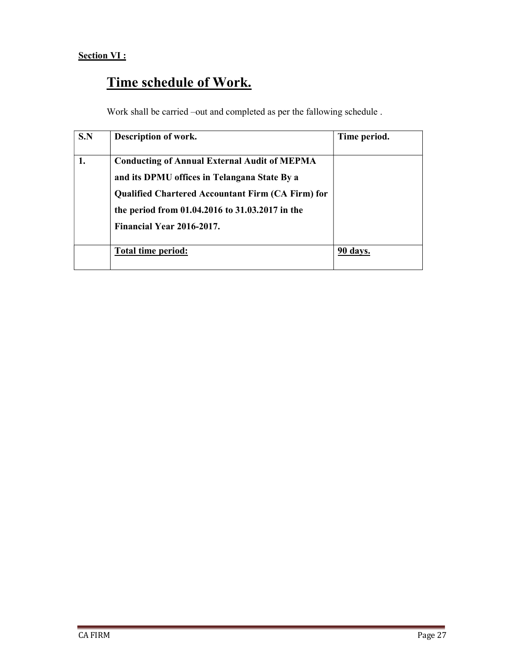## Section VI :

# Time schedule of Work.

Work shall be carried –out and completed as per the fallowing schedule .

| S.N | Description of work.                                                                                                                                                                                                                            | Time period. |
|-----|-------------------------------------------------------------------------------------------------------------------------------------------------------------------------------------------------------------------------------------------------|--------------|
| 1.  | <b>Conducting of Annual External Audit of MEPMA</b><br>and its DPMU offices in Telangana State By a<br><b>Qualified Chartered Accountant Firm (CA Firm) for</b><br>the period from 01.04.2016 to 31.03.2017 in the<br>Financial Year 2016-2017. |              |
|     | Total time period:                                                                                                                                                                                                                              | 90 davs.     |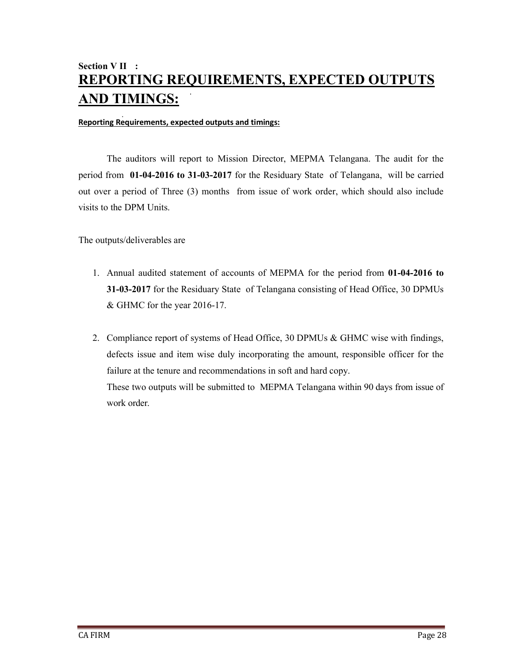# Section V II : REPORTING REQUIREMENTS, EXPECTED OUTPUTS AND TIMINGS:

#### Reporting Requirements, expected outputs and timings:

The auditors will report to Mission Director, MEPMA Telangana. The audit for the period from 01-04-2016 to 31-03-2017 for the Residuary State of Telangana, will be carried out over a period of Three (3) months from issue of work order, which should also include visits to the DPM Units.

The outputs/deliverables are

- 1. Annual audited statement of accounts of MEPMA for the period from 01-04-2016 to 31-03-2017 for the Residuary State of Telangana consisting of Head Office, 30 DPMUs & GHMC for the year 2016-17.
- 2. Compliance report of systems of Head Office, 30 DPMUs & GHMC wise with findings, defects issue and item wise duly incorporating the amount, responsible officer for the failure at the tenure and recommendations in soft and hard copy. These two outputs will be submitted to MEPMA Telangana within 90 days from issue of work order.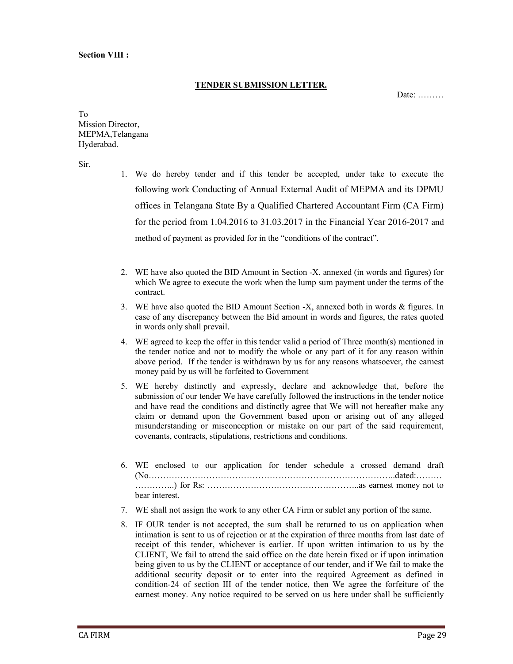#### Section VIII :

#### TENDER SUBMISSION LETTER.

Date: ………

To Mission Director, MEPMA,Telangana Hyderabad.

Sir,

- 1. We do hereby tender and if this tender be accepted, under take to execute the following work Conducting of Annual External Audit of MEPMA and its DPMU offices in Telangana State By a Qualified Chartered Accountant Firm (CA Firm) for the period from 1.04.2016 to 31.03.2017 in the Financial Year 2016-2017 and method of payment as provided for in the "conditions of the contract".
- 2. WE have also quoted the BID Amount in Section -X, annexed (in words and figures) for which We agree to execute the work when the lump sum payment under the terms of the contract.
- 3. WE have also quoted the BID Amount Section -X, annexed both in words & figures. In case of any discrepancy between the Bid amount in words and figures, the rates quoted in words only shall prevail.
- 4. WE agreed to keep the offer in this tender valid a period of Three month(s) mentioned in the tender notice and not to modify the whole or any part of it for any reason within above period. If the tender is withdrawn by us for any reasons whatsoever, the earnest money paid by us will be forfeited to Government
- 5. WE hereby distinctly and expressly, declare and acknowledge that, before the submission of our tender We have carefully followed the instructions in the tender notice and have read the conditions and distinctly agree that We will not hereafter make any claim or demand upon the Government based upon or arising out of any alleged misunderstanding or misconception or mistake on our part of the said requirement, covenants, contracts, stipulations, restrictions and conditions.
- 6. WE enclosed to our application for tender schedule a crossed demand draft (No…………………………………………………………………………..dated:……… …………..) for Rs: ……………………………………………..as earnest money not to bear interest.
- 7. WE shall not assign the work to any other CA Firm or sublet any portion of the same.
- 8. IF OUR tender is not accepted, the sum shall be returned to us on application when intimation is sent to us of rejection or at the expiration of three months from last date of receipt of this tender, whichever is earlier. If upon written intimation to us by the CLIENT, We fail to attend the said office on the date herein fixed or if upon intimation being given to us by the CLIENT or acceptance of our tender, and if We fail to make the additional security deposit or to enter into the required Agreement as defined in condition-24 of section III of the tender notice, then We agree the forfeiture of the earnest money. Any notice required to be served on us here under shall be sufficiently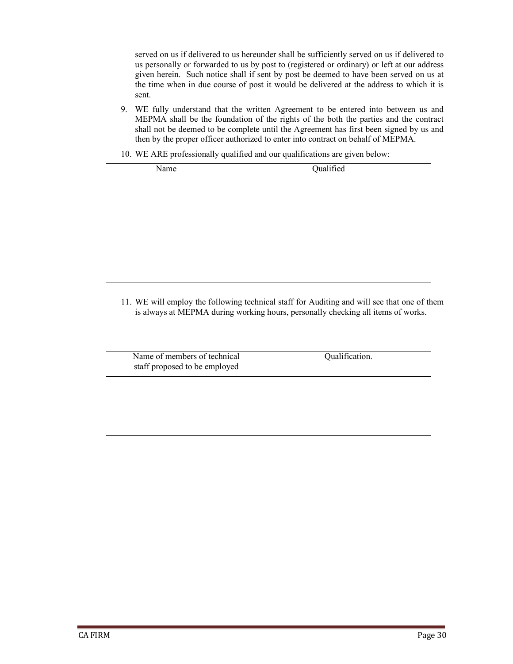served on us if delivered to us hereunder shall be sufficiently served on us if delivered to us personally or forwarded to us by post to (registered or ordinary) or left at our address given herein. Such notice shall if sent by post be deemed to have been served on us at the time when in due course of post it would be delivered at the address to which it is sent.

- 9. WE fully understand that the written Agreement to be entered into between us and MEPMA shall be the foundation of the rights of the both the parties and the contract shall not be deemed to be complete until the Agreement has first been signed by us and then by the proper officer authorized to enter into contract on behalf of MEPMA.
- 10. WE ARE professionally qualified and our qualifications are given below:

11. WE will employ the following technical staff for Auditing and will see that one of them is always at MEPMA during working hours, personally checking all items of works.

Name of members of technical staff proposed to be employed Qualification.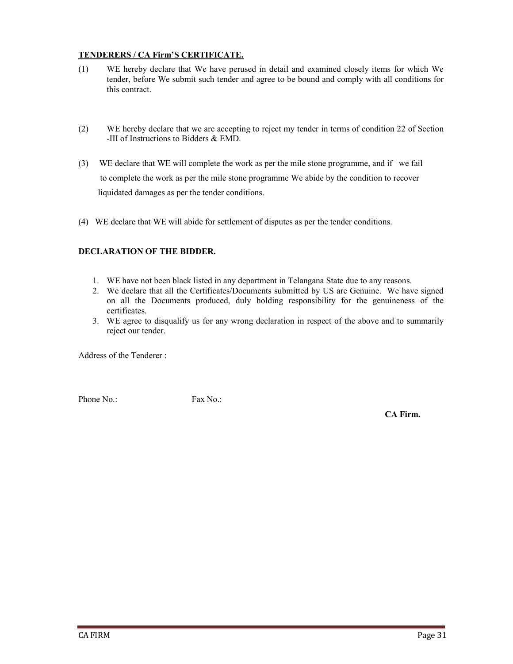#### TENDERERS / CA Firm'S CERTIFICATE.

- (1) WE hereby declare that We have perused in detail and examined closely items for which We tender, before We submit such tender and agree to be bound and comply with all conditions for this contract.
- (2) WE hereby declare that we are accepting to reject my tender in terms of condition 22 of Section -III of Instructions to Bidders & EMD.
- (3) WE declare that WE will complete the work as per the mile stone programme, and if we fail to complete the work as per the mile stone programme We abide by the condition to recover liquidated damages as per the tender conditions.
- (4) WE declare that WE will abide for settlement of disputes as per the tender conditions.

#### DECLARATION OF THE BIDDER.

- 1. WE have not been black listed in any department in Telangana State due to any reasons.
- 2. We declare that all the Certificates/Documents submitted by US are Genuine. We have signed on all the Documents produced, duly holding responsibility for the genuineness of the certificates.
- 3. WE agree to disqualify us for any wrong declaration in respect of the above and to summarily reject our tender.

Address of the Tenderer :

Phone No.: Fax No.:

CA Firm.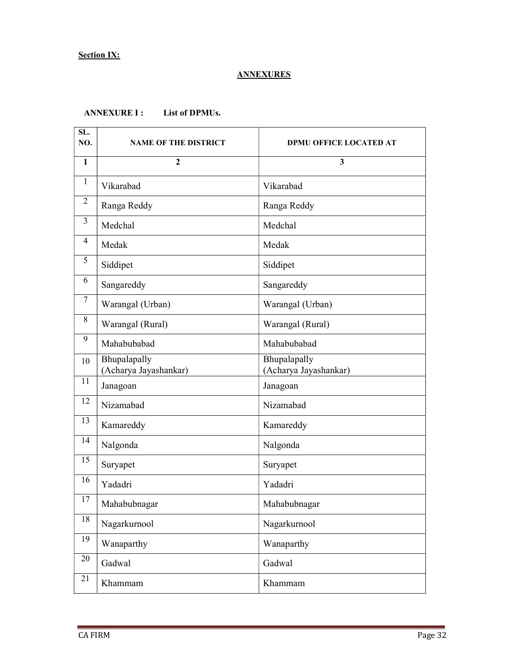## Section IX:

#### **ANNEXURES**

| SL.<br>NO.      | <b>NAME OF THE DISTRICT</b>           | DPMU OFFICE LOCATED AT                |
|-----------------|---------------------------------------|---------------------------------------|
| $\mathbf{1}$    | $\overline{2}$                        | $\overline{\mathbf{3}}$               |
| $\mathbf{1}$    | Vikarabad                             | Vikarabad                             |
| $\overline{2}$  | Ranga Reddy                           | Ranga Reddy                           |
| 3               | Medchal                               | Medchal                               |
| $\overline{4}$  | Medak                                 | Medak                                 |
| 5               | Siddipet                              | Siddipet                              |
| 6               | Sangareddy                            | Sangareddy                            |
| 7               | Warangal (Urban)                      | Warangal (Urban)                      |
| 8               | Warangal (Rural)                      | Warangal (Rural)                      |
| 9               | Mahabubabad                           | Mahabubabad                           |
| 10              | Bhupalapally<br>(Acharya Jayashankar) | Bhupalapally<br>(Acharya Jayashankar) |
| 11              | Janagoan                              | Janagoan                              |
| 12              | Nizamabad                             | Nizamabad                             |
| 13              | Kamareddy                             | Kamareddy                             |
| 14              | Nalgonda                              | Nalgonda                              |
| 15              | Suryapet                              | Suryapet                              |
| 16              | Yadadri                               | Yadadri                               |
| 17              | Mahabubnagar                          | Mahabubnagar                          |
| $\overline{18}$ | Nagarkurnool                          | Nagarkurnool                          |
| 19              | Wanaparthy                            | Wanaparthy                            |
| 20              | Gadwal                                | Gadwal                                |
| 21              | Khammam                               | Khammam                               |

## ANNEXURE I : List of DPMUs.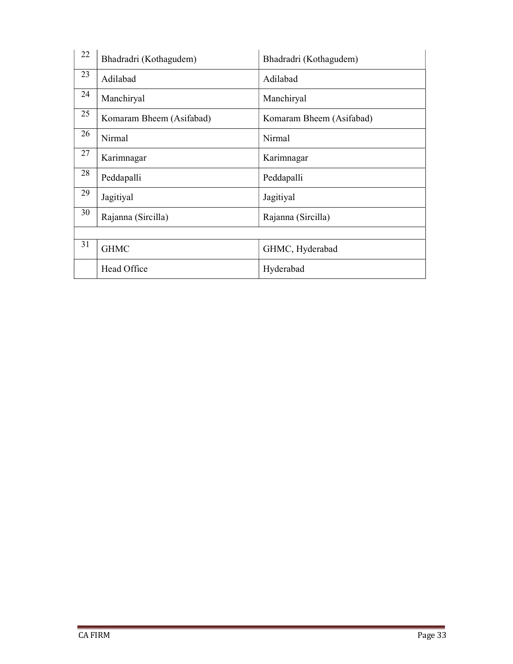| 22 | Bhadradri (Kothagudem)   | Bhadradri (Kothagudem)   |
|----|--------------------------|--------------------------|
| 23 | Adilabad                 | Adilabad                 |
| 24 | Manchiryal               | Manchiryal               |
| 25 | Komaram Bheem (Asifabad) | Komaram Bheem (Asifabad) |
| 26 | Nirmal                   | Nirmal                   |
| 27 | Karimnagar               | Karimnagar               |
| 28 | Peddapalli               | Peddapalli               |
| 29 | Jagitiyal                | Jagitiyal                |
| 30 | Rajanna (Sircilla)       | Rajanna (Sircilla)       |
|    |                          |                          |
| 31 | <b>GHMC</b>              | GHMC, Hyderabad          |
|    | Head Office              | Hyderabad                |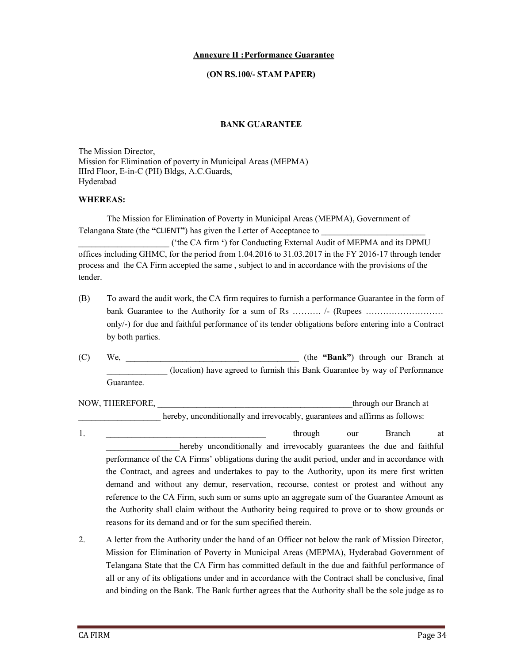#### Annexure II : Performance Guarantee

(ON RS.100/- STAM PAPER)

#### BANK GUARANTEE

The Mission Director, Mission for Elimination of poverty in Municipal Areas (MEPMA) IIIrd Floor, E-in-C (PH) Bldgs, A.C.Guards, Hyderabad

#### WHEREAS:

 The Mission for Elimination of Poverty in Municipal Areas (MEPMA), Government of Telangana State (the "CLIENT") has given the Letter of Acceptance to

\_\_\_\_\_\_\_\_\_\_\_\_\_\_\_\_\_\_\_\_\_ ('the CA firm ') for Conducting External Audit of MEPMA and its DPMU offices including GHMC, for the period from 1.04.2016 to 31.03.2017 in the FY 2016-17 through tender process and the CA Firm accepted the same , subject to and in accordance with the provisions of the tender.

- (B) To award the audit work, the CA firm requires to furnish a performance Guarantee in the form of bank Guarantee to the Authority for a sum of Rs ……….. /- (Rupees ……………………………………… only/-) for due and faithful performance of its tender obligations before entering into a Contract by both parties.
- (C) We, the "Bank") through our Branch at \_\_\_\_\_\_\_\_\_\_\_\_\_\_ (location) have agreed to furnish this Bank Guarantee by way of Performance Guarantee.

NOW, THEREFORE, **Example 2** and the set of the set of the set of the set of the set of the set of the set of the set of the set of the set of the set of the set of the set of the set of the set of the set of the set of the hereby, unconditionally and irrevocably, guarantees and affirms as follows:

- 1. **through our Branch at** hereby unconditionally and irrevocably guarantees the due and faithful performance of the CA Firms' obligations during the audit period, under and in accordance with the Contract, and agrees and undertakes to pay to the Authority, upon its mere first written demand and without any demur, reservation, recourse, contest or protest and without any reference to the CA Firm, such sum or sums upto an aggregate sum of the Guarantee Amount as the Authority shall claim without the Authority being required to prove or to show grounds or reasons for its demand and or for the sum specified therein.
- 2. A letter from the Authority under the hand of an Officer not below the rank of Mission Director, Mission for Elimination of Poverty in Municipal Areas (MEPMA), Hyderabad Government of Telangana State that the CA Firm has committed default in the due and faithful performance of all or any of its obligations under and in accordance with the Contract shall be conclusive, final and binding on the Bank. The Bank further agrees that the Authority shall be the sole judge as to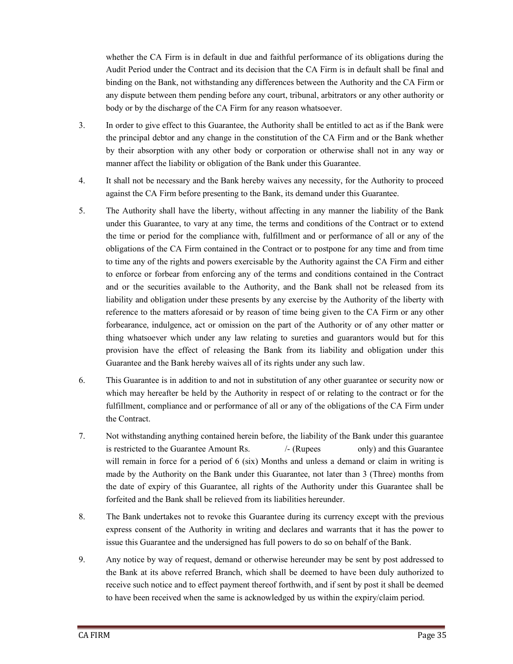whether the CA Firm is in default in due and faithful performance of its obligations during the Audit Period under the Contract and its decision that the CA Firm is in default shall be final and binding on the Bank, not withstanding any differences between the Authority and the CA Firm or any dispute between them pending before any court, tribunal, arbitrators or any other authority or body or by the discharge of the CA Firm for any reason whatsoever.

- 3. In order to give effect to this Guarantee, the Authority shall be entitled to act as if the Bank were the principal debtor and any change in the constitution of the CA Firm and or the Bank whether by their absorption with any other body or corporation or otherwise shall not in any way or manner affect the liability or obligation of the Bank under this Guarantee.
- 4. It shall not be necessary and the Bank hereby waives any necessity, for the Authority to proceed against the CA Firm before presenting to the Bank, its demand under this Guarantee.
- 5. The Authority shall have the liberty, without affecting in any manner the liability of the Bank under this Guarantee, to vary at any time, the terms and conditions of the Contract or to extend the time or period for the compliance with, fulfillment and or performance of all or any of the obligations of the CA Firm contained in the Contract or to postpone for any time and from time to time any of the rights and powers exercisable by the Authority against the CA Firm and either to enforce or forbear from enforcing any of the terms and conditions contained in the Contract and or the securities available to the Authority, and the Bank shall not be released from its liability and obligation under these presents by any exercise by the Authority of the liberty with reference to the matters aforesaid or by reason of time being given to the CA Firm or any other forbearance, indulgence, act or omission on the part of the Authority or of any other matter or thing whatsoever which under any law relating to sureties and guarantors would but for this provision have the effect of releasing the Bank from its liability and obligation under this Guarantee and the Bank hereby waives all of its rights under any such law.
- 6. This Guarantee is in addition to and not in substitution of any other guarantee or security now or which may hereafter be held by the Authority in respect of or relating to the contract or for the fulfillment, compliance and or performance of all or any of the obligations of the CA Firm under the Contract.
- 7. Not withstanding anything contained herein before, the liability of the Bank under this guarantee is restricted to the Guarantee Amount Rs.  $\frac{1}{2}$  (Rupees only) and this Guarantee will remain in force for a period of 6 (six) Months and unless a demand or claim in writing is made by the Authority on the Bank under this Guarantee, not later than 3 (Three) months from the date of expiry of this Guarantee, all rights of the Authority under this Guarantee shall be forfeited and the Bank shall be relieved from its liabilities hereunder.
- 8. The Bank undertakes not to revoke this Guarantee during its currency except with the previous express consent of the Authority in writing and declares and warrants that it has the power to issue this Guarantee and the undersigned has full powers to do so on behalf of the Bank.
- 9. Any notice by way of request, demand or otherwise hereunder may be sent by post addressed to the Bank at its above referred Branch, which shall be deemed to have been duly authorized to receive such notice and to effect payment thereof forthwith, and if sent by post it shall be deemed to have been received when the same is acknowledged by us within the expiry/claim period.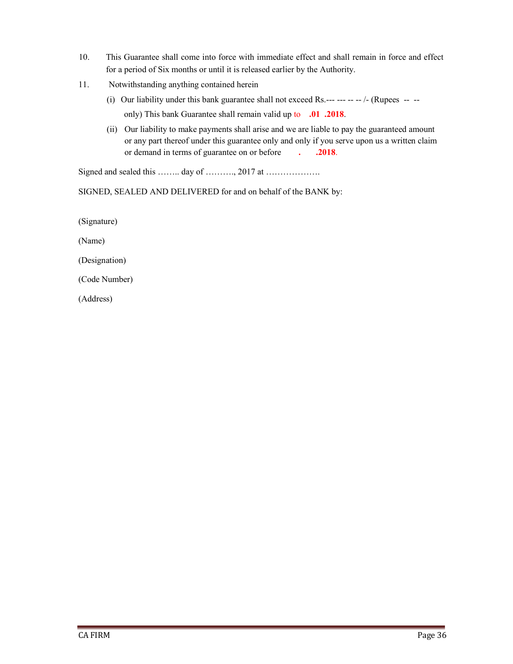- 10. This Guarantee shall come into force with immediate effect and shall remain in force and effect for a period of Six months or until it is released earlier by the Authority.
- 11. Notwithstanding anything contained herein
	- (i) Our liability under this bank guarantee shall not exceed Rs.--- --- -- -- /- (Rupees -- only) This bank Guarantee shall remain valid up to .01 .2018.
	- (ii) Our liability to make payments shall arise and we are liable to pay the guaranteed amount or any part thereof under this guarantee only and only if you serve upon us a written claim or demand in terms of guarantee on or before . . . 2018.

Signed and sealed this …….. day of ………, 2017 at ………………….

SIGNED, SEALED AND DELIVERED for and on behalf of the BANK by:

(Signature)

(Name)

(Designation)

(Code Number)

(Address)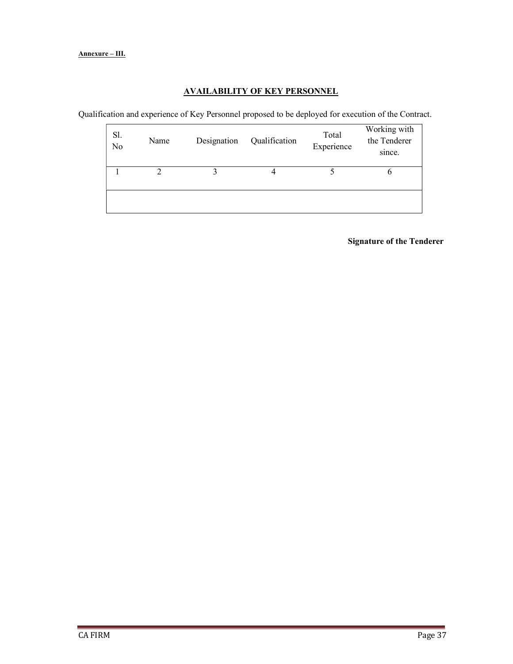## AVAILABILITY OF KEY PERSONNEL

Qualification and experience of Key Personnel proposed to be deployed for execution of the Contract.

| Sl.<br>No | Name | Designation | Qualification | Total<br>Experience | Working with<br>the Tenderer<br>since. |
|-----------|------|-------------|---------------|---------------------|----------------------------------------|
|           |      |             |               |                     |                                        |
|           |      |             |               |                     |                                        |

Signature of the Tenderer